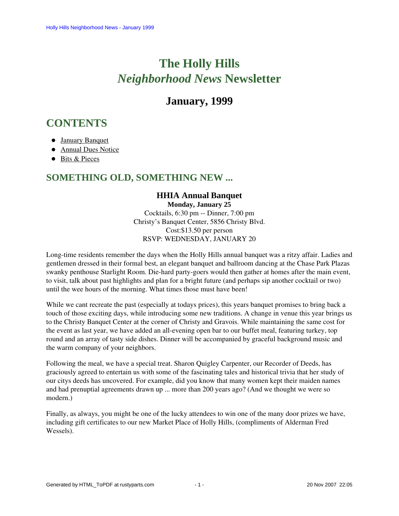# **The Holly Hills**  *Neighborhood News* **Newsletter**

# **January, 1999**

# <span id="page-0-1"></span>**CONTENTS**

- [January Banquet](#page-0-0)
- [Annual Dues Notice](#page-1-0)
- [Bits & Pieces](#page-1-1)

# <span id="page-0-0"></span>**SOMETHING OLD, SOMETHING NEW ...**

# **HHIA Annual Banquet**

**Monday, January 25** Cocktails, 6:30 pm -- Dinner, 7:00 pm Christy's Banquet Center, 5856 Christy Blvd. Cost:\$13.50 per person RSVP: WEDNESDAY, JANUARY 20

Long-time residents remember the days when the Holly Hills annual banquet was a ritzy affair. Ladies and gentlemen dressed in their formal best, an elegant banquet and ballroom dancing at the Chase Park Plazas swanky penthouse Starlight Room. Die-hard party-goers would then gather at homes after the main event, to visit, talk about past highlights and plan for a bright future (and perhaps sip another cocktail or two) until the wee hours of the morning. What times those must have been!

While we cant recreate the past (especially at todays prices), this years banquet promises to bring back a touch of those exciting days, while introducing some new traditions. A change in venue this year brings us to the Christy Banquet Center at the corner of Christy and Gravois. While maintaining the same cost for the event as last year, we have added an all-evening open bar to our buffet meal, featuring turkey, top round and an array of tasty side dishes. Dinner will be accompanied by graceful background music and the warm company of your neighbors.

Following the meal, we have a special treat. Sharon Quigley Carpenter, our Recorder of Deeds, has graciously agreed to entertain us with some of the fascinating tales and historical trivia that her study of our citys deeds has uncovered. For example, did you know that many women kept their maiden names and had prenuptial agreements drawn up ... more than 200 years ago? (And we thought we were so modern.)

Finally, as always, you might be one of the lucky attendees to win one of the many door prizes we have, including gift certificates to our new Market Place of Holly Hills, (compliments of Alderman Fred Wessels).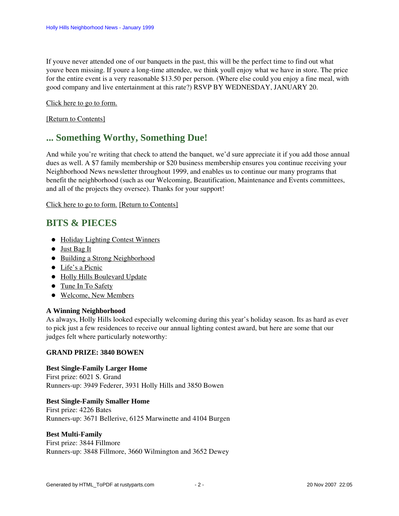If youve never attended one of our banquets in the past, this will be the perfect time to find out what youve been missing. If youre a long-time attendee, we think youll enjoy what we have in store. The price for the entire event is a very reasonable \$13.50 per person. (Where else could you enjoy a fine meal, with good company and live entertainment at this rate?) RSVP BY WEDNESDAY, JANUARY 20.

Click here to go to form.

<span id="page-1-0"></span>[\[Return to Contents\]](#page-0-1)

# **... Something Worthy, Something Due!**

And while you're writing that check to attend the banquet, we'd sure appreciate it if you add those annual dues as well. A \$7 family membership or \$20 business membership ensures you continue receiving your Neighborhood News newsletter throughout 1999, and enables us to continue our many programs that benefit the neighborhood (such as our Welcoming, Beautification, Maintenance and Events committees, and all of the projects they oversee). Thanks for your support!

Click here to go to form. [\[Return to Contents\]](#page-0-1)

# <span id="page-1-2"></span><span id="page-1-1"></span>**BITS & PIECES**

- Holiday Lighting Contest Winners
- [Just Bag It](#page-2-0)
- [Building a Strong Neighborhood](#page-2-1)
- [Life's a Picnic](#page-2-2)
- [Holly Hills Boulevard Update](#page-2-3)
- [Tune In To Safety](#page-2-4)
- [Welcome, New Members](#page-3-0)

# **A Winning Neighborhood**

As always, Holly Hills looked especially welcoming during this year's holiday season. Its as hard as ever to pick just a few residences to receive our annual lighting contest award, but here are some that our judges felt where particularly noteworthy:

# **GRAND PRIZE: 3840 BOWEN**

# **Best Single-Family Larger Home**

First prize: 6021 S. Grand Runners-up: 3949 Federer, 3931 Holly Hills and 3850 Bowen

# **Best Single-Family Smaller Home**

First prize: 4226 Bates Runners-up: 3671 Bellerive, 6125 Marwinette and 4104 Burgen

# **Best Multi-Family**

First prize: 3844 Fillmore Runners-up: 3848 Fillmore, 3660 Wilmington and 3652 Dewey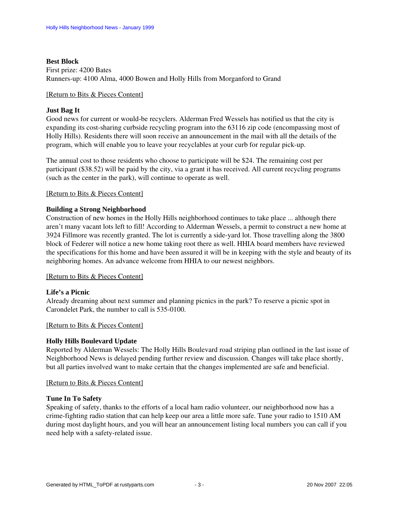# **Best Block** First prize: 4200 Bates Runners-up: 4100 Alma, 4000 Bowen and Holly Hills from Morganford to Grand

### [\[Return to Bits & Pieces Content\]](#page-1-2)

## <span id="page-2-0"></span>**Just Bag It**

Good news for current or would-be recyclers. Alderman Fred Wessels has notified us that the city is expanding its cost-sharing curbside recycling program into the 63116 zip code (encompassing most of Holly Hills). Residents there will soon receive an announcement in the mail with all the details of the program, which will enable you to leave your recyclables at your curb for regular pick-up.

The annual cost to those residents who choose to participate will be \$24. The remaining cost per participant (\$38.52) will be paid by the city, via a grant it has received. All current recycling programs (such as the center in the park), will continue to operate as well.

# [\[Return to Bits & Pieces Content\]](#page-1-2)

# <span id="page-2-1"></span>**Building a Strong Neighborhood**

Construction of new homes in the Holly Hills neighborhood continues to take place ... although there aren't many vacant lots left to fill! According to Alderman Wessels, a permit to construct a new home at 3924 Fillmore was recently granted. The lot is currently a side-yard lot. Those travelling along the 3800 block of Federer will notice a new home taking root there as well. HHIA board members have reviewed the specifications for this home and have been assured it will be in keeping with the style and beauty of its neighboring homes. An advance welcome from HHIA to our newest neighbors.

### [\[Return to Bits & Pieces Content\]](#page-1-2)

# <span id="page-2-2"></span>**Life's a Picnic**

Already dreaming about next summer and planning picnics in the park? To reserve a picnic spot in Carondelet Park, the number to call is 535-0100.

### [\[Return to Bits & Pieces Content\]](#page-1-2)

# <span id="page-2-3"></span>**Holly Hills Boulevard Update**

Reported by Alderman Wessels: The Holly Hills Boulevard road striping plan outlined in the last issue of Neighborhood News is delayed pending further review and discussion. Changes will take place shortly, but all parties involved want to make certain that the changes implemented are safe and beneficial.

### [\[Return to Bits & Pieces Content\]](#page-1-2)

### <span id="page-2-4"></span>**Tune In To Safety**

Speaking of safety, thanks to the efforts of a local ham radio volunteer, our neighborhood now has a crime-fighting radio station that can help keep our area a little more safe. Tune your radio to 1510 AM during most daylight hours, and you will hear an announcement listing local numbers you can call if you need help with a safety-related issue.